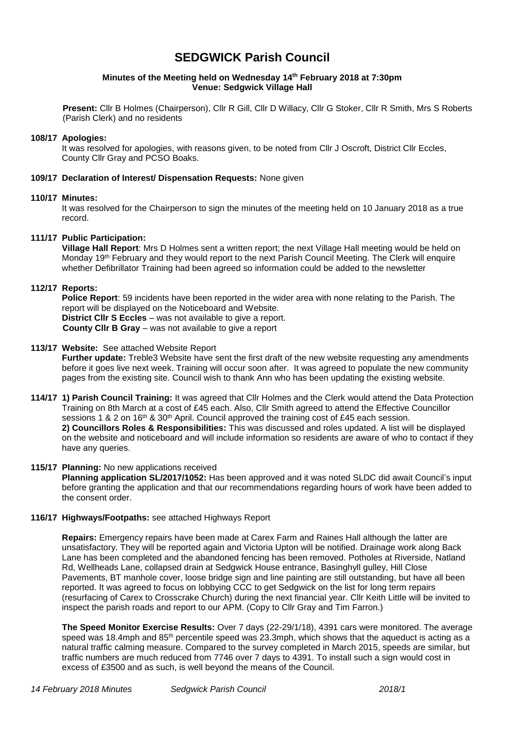# **SEDGWICK Parish Council**

### **Minutes of the Meeting held on Wednesday 14 th February 2018 at 7:30pm Venue: Sedgwick Village Hall**

**Present:** Cllr B Holmes (Chairperson), Cllr R Gill, Cllr D Willacy, Cllr G Stoker, Cllr R Smith, Mrs S Roberts (Parish Clerk) and no residents

### **108/17 Apologies:**

It was resolved for apologies, with reasons given, to be noted from Cllr J Oscroft, District Cllr Eccles, County Cllr Gray and PCSO Boaks.

### **109/17 Declaration of Interest/ Dispensation Requests:** None given

### **110/17 Minutes:**

It was resolved for the Chairperson to sign the minutes of the meeting held on 10 January 2018 as a true record.

### **111/17 Public Participation:**

**Village Hall Report**: Mrs D Holmes sent a written report; the next Village Hall meeting would be held on Monday 19<sup>th</sup> February and they would report to the next Parish Council Meeting. The Clerk will enquire whether Defibrillator Training had been agreed so information could be added to the newsletter

### **112/17 Reports:**

**Police Report**: 59 incidents have been reported in the wider area with none relating to the Parish. The report will be displayed on the Noticeboard and Website. **District Cllr S Eccles** – was not available to give a report. **County Cllr B Gray** – was not available to give a report

### **113/17 Website:** See attached Website Report

**Further update:** Treble3 Website have sent the first draft of the new website requesting any amendments before it goes live next week. Training will occur soon after. It was agreed to populate the new community pages from the existing site. Council wish to thank Ann who has been updating the existing website.

**114/17 1) Parish Council Training:** It was agreed that Cllr Holmes and the Clerk would attend the Data Protection Training on 8th March at a cost of £45 each. Also, Cllr Smith agreed to attend the Effective Councillor sessions 1 & 2 on 16<sup>th</sup> & 30<sup>th</sup> April. Council approved the training cost of £45 each session. **2) Councillors Roles & Responsibilities:** This was discussed and roles updated. A list will be displayed on the website and noticeboard and will include information so residents are aware of who to contact if they have any queries.

### **115/17 Planning:** No new applications received

**Planning application SL/2017/1052:** Has been approved and it was noted SLDC did await Council's input before granting the application and that our recommendations regarding hours of work have been added to the consent order.

### **116/17 Highways/Footpaths:** see attached Highways Report

 **Repairs:** Emergency repairs have been made at Carex Farm and Raines Hall although the latter are unsatisfactory. They will be reported again and Victoria Upton will be notified. Drainage work along Back Lane has been completed and the abandoned fencing has been removed. Potholes at Riverside, Natland Rd, Wellheads Lane, collapsed drain at Sedgwick House entrance, Basinghyll gulley, Hill Close Pavements, BT manhole cover, loose bridge sign and line painting are still outstanding, but have all been reported. It was agreed to focus on lobbying CCC to get Sedgwick on the list for long term repairs (resurfacing of Carex to Crosscrake Church) during the next financial year. Cllr Keith Little will be invited to inspect the parish roads and report to our APM. (Copy to Cllr Gray and Tim Farron.)

 **The Speed Monitor Exercise Results:** Over 7 days (22-29/1/18), 4391 cars were monitored. The average speed was 18.4mph and 85<sup>th</sup> percentile speed was 23.3mph, which shows that the aqueduct is acting as a natural traffic calming measure. Compared to the survey completed in March 2015, speeds are similar, but traffic numbers are much reduced from 7746 over 7 days to 4391. To install such a sign would cost in excess of £3500 and as such, is well beyond the means of the Council.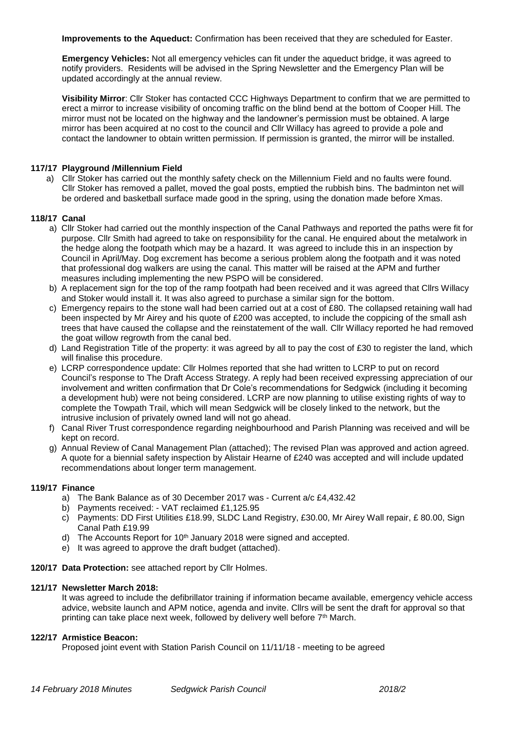**Improvements to the Aqueduct:** Confirmation has been received that they are scheduled for Easter.

 **Emergency Vehicles:** Not all emergency vehicles can fit under the aqueduct bridge, it was agreed to notify providers. Residents will be advised in the Spring Newsletter and the Emergency Plan will be updated accordingly at the annual review.

**Visibility Mirror**: Cllr Stoker has contacted CCC Highways Department to confirm that we are permitted to erect a mirror to increase visibility of oncoming traffic on the blind bend at the bottom of Cooper Hill. The mirror must not be located on the highway and the landowner's permission must be obtained. A large mirror has been acquired at no cost to the council and Cllr Willacy has agreed to provide a pole and contact the landowner to obtain written permission. If permission is granted, the mirror will be installed.

### **117/17 Playground /Millennium Field**

a) Cllr Stoker has carried out the monthly safety check on the Millennium Field and no faults were found. Cllr Stoker has removed a pallet, moved the goal posts, emptied the rubbish bins. The badminton net will be ordered and basketball surface made good in the spring, using the donation made before Xmas.

### **118/17 Canal**

- a) Cllr Stoker had carried out the monthly inspection of the Canal Pathways and reported the paths were fit for purpose. Cllr Smith had agreed to take on responsibility for the canal. He enquired about the metalwork in the hedge along the footpath which may be a hazard. It was agreed to include this in an inspection by Council in April/May. Dog excrement has become a serious problem along the footpath and it was noted that professional dog walkers are using the canal. This matter will be raised at the APM and further measures including implementing the new PSPO will be considered.
- b) A replacement sign for the top of the ramp footpath had been received and it was agreed that Cllrs Willacy and Stoker would install it. It was also agreed to purchase a similar sign for the bottom.
- c) Emergency repairs to the stone wall had been carried out at a cost of £80. The collapsed retaining wall had been inspected by Mr Airey and his quote of £200 was accepted, to include the coppicing of the small ash trees that have caused the collapse and the reinstatement of the wall. Cllr Willacy reported he had removed the goat willow regrowth from the canal bed.
- d) Land Registration Title of the property: it was agreed by all to pay the cost of £30 to register the land, which will finalise this procedure.
- e) LCRP correspondence update: Cllr Holmes reported that she had written to LCRP to put on record Council's response to The Draft Access Strategy. A reply had been received expressing appreciation of our involvement and written confirmation that Dr Cole's recommendations for Sedgwick (including it becoming a development hub) were not being considered. LCRP are now planning to utilise existing rights of way to complete the Towpath Trail, which will mean Sedgwick will be closely linked to the network, but the intrusive inclusion of privately owned land will not go ahead.
- f) Canal River Trust correspondence regarding neighbourhood and Parish Planning was received and will be kept on record.
- g) Annual Review of Canal Management Plan (attached); The revised Plan was approved and action agreed. A quote for a biennial safety inspection by Alistair Hearne of £240 was accepted and will include updated recommendations about longer term management.

### **119/17 Finance**

- a) The Bank Balance as of 30 December 2017 was Current a/c £4,432.42
- b) Payments received: VAT reclaimed £1,125.95
- c) Payments: DD First Utilities £18.99, SLDC Land Registry, £30.00, Mr Airey Wall repair, £ 80.00, Sign Canal Path £19.99
- d) The Accounts Report for 10<sup>th</sup> January 2018 were signed and accepted.
- e) It was agreed to approve the draft budget (attached).

### **120/17 Data Protection:** see attached report by Cllr Holmes.

### **121/17 Newsletter March 2018:**

It was agreed to include the defibrillator training if information became available, emergency vehicle access advice, website launch and APM notice, agenda and invite. Cllrs will be sent the draft for approval so that printing can take place next week, followed by delivery well before 7<sup>th</sup> March.

### **122/17 Armistice Beacon:**

Proposed joint event with Station Parish Council on 11/11/18 - meeting to be agreed